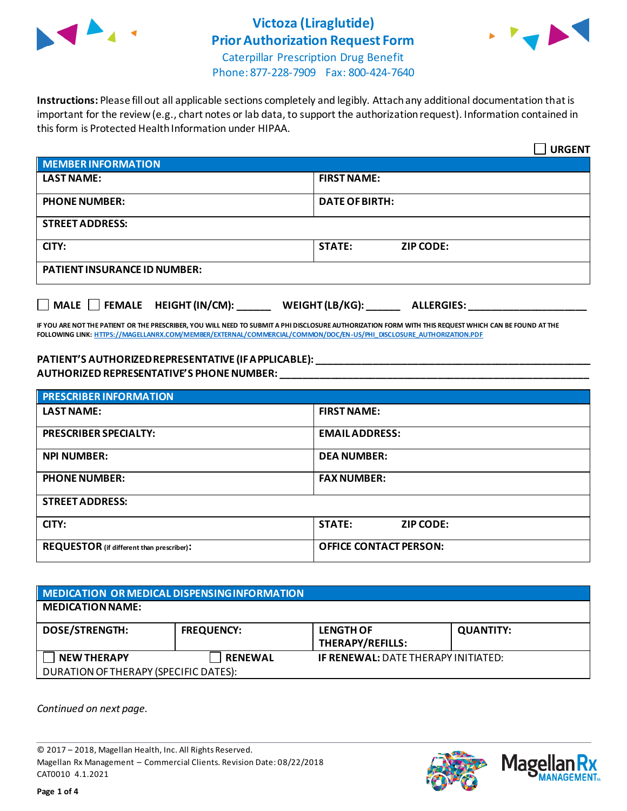



Caterpillar Prescription Drug Benefit Phone: 877-228-7909 Fax: 800-424-7640

**Instructions:** Please fill out all applicable sections completely and legibly. Attach any additional documentation that is important for the review (e.g., chart notes or lab data, to support the authorization request). Information contained in this form is Protected Health Information under HIPAA.

|                                           | <b>URGENT</b>                        |
|-------------------------------------------|--------------------------------------|
| <b>MEMBER INFORMATION</b>                 |                                      |
| <b>LAST NAME:</b>                         | <b>FIRST NAME:</b>                   |
| <b>PHONE NUMBER:</b>                      | <b>DATE OF BIRTH:</b>                |
| <b>STREET ADDRESS:</b>                    |                                      |
| CITY:                                     | <b>STATE:</b><br><b>ZIP CODE:</b>    |
| <b>PATIENT INSURANCE ID NUMBER:</b>       |                                      |
| $\Box$ MALE $\Box$ FEMALE HEIGHT (IN/CM): | WEIGHT (LB/KG):<br><b>ALLERGIES:</b> |

**IF YOU ARE NOT THE PATIENT OR THE PRESCRIBER, YOU WILL NEED TO SUBMIT A PHI DISCLOSURE AUTHORIZATION FORM WITH THIS REQUEST WHICH CAN BE FOUND AT THE FOLLOWING LINK[: HTTPS://MAGELLANRX.COM/MEMBER/EXTERNAL/COMMERCIAL/COMMON/DOC/EN-US/PHI\\_DISCLOSURE\\_AUTHORIZATION.PDF](https://magellanrx.com/member/external/commercial/common/doc/en-us/PHI_Disclosure_Authorization.pdf)**

#### **PATIENT'S AUTHORIZED REPRESENTATIVE (IF APPLICABLE): \_\_\_\_\_\_\_\_\_\_\_\_\_\_\_\_\_\_\_\_\_\_\_\_\_\_\_\_\_\_\_\_\_\_\_\_\_\_\_\_\_\_\_\_\_\_\_\_\_ AUTHORIZED REPRESENTATIVE'S PHONE NUMBER: \_\_\_\_\_\_\_\_\_\_\_\_\_\_\_\_\_\_\_\_\_\_\_\_\_\_\_\_\_\_\_\_\_\_\_\_\_\_\_\_\_\_\_\_\_\_\_\_\_\_\_\_\_\_\_**

| <b>PRESCRIBER INFORMATION</b>             |                                   |
|-------------------------------------------|-----------------------------------|
| <b>LAST NAME:</b>                         | <b>FIRST NAME:</b>                |
| <b>PRESCRIBER SPECIALTY:</b>              | <b>EMAIL ADDRESS:</b>             |
| <b>NPI NUMBER:</b>                        | <b>DEA NUMBER:</b>                |
| <b>PHONE NUMBER:</b>                      | <b>FAX NUMBER:</b>                |
| <b>STREET ADDRESS:</b>                    |                                   |
| CITY:                                     | <b>STATE:</b><br><b>ZIP CODE:</b> |
| REQUESTOR (if different than prescriber): | <b>OFFICE CONTACT PERSON:</b>     |

| <b>MEDICATION OR MEDICAL DISPENSING INFORMATION</b> |                   |                                            |                  |
|-----------------------------------------------------|-------------------|--------------------------------------------|------------------|
| <b>MEDICATION NAME:</b>                             |                   |                                            |                  |
| <b>DOSE/STRENGTH:</b>                               | <b>FREQUENCY:</b> | <b>LENGTH OF</b><br>THERAPY/REFILLS:       | <b>QUANTITY:</b> |
| <b>NEW THERAPY</b>                                  | <b>RENEWAL</b>    | <b>IF RENEWAL: DATE THERAPY INITIATED:</b> |                  |
| DURATION OF THERAPY (SPECIFIC DATES):               |                   |                                            |                  |

*Continued on next page.*

© 2017 – 2018, Magellan Health, Inc. All Rights Reserved. Magellan Rx Management – Commercial Clients. Revision Date: 08/22/2018 CAT0010 4.1.2021



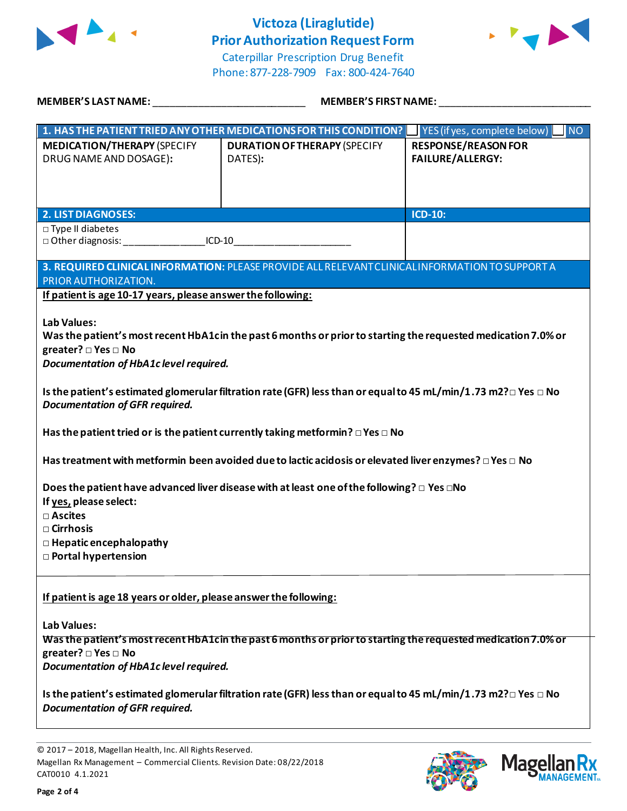



Caterpillar Prescription Drug Benefit Phone: 877-228-7909 Fax: 800-424-7640

| MEMBER'S LAST NAME: NAME AND A SERIES AND A SERIES OF STREET AND A STREET AND A STREET AND A STREET AND A STRE                                                                                                             | <b>MEMBER'S FIRST NAME:</b>                                                                                               |                                                          |  |
|----------------------------------------------------------------------------------------------------------------------------------------------------------------------------------------------------------------------------|---------------------------------------------------------------------------------------------------------------------------|----------------------------------------------------------|--|
|                                                                                                                                                                                                                            | 1. HAS THE PATIENT TRIED ANY OTHER MEDICATIONS FOR THIS CONDITION?                                                        | $\blacksquare$ YES (if yes, complete below)<br><b>NO</b> |  |
| <b>MEDICATION/THERAPY (SPECIFY</b><br>DRUG NAME AND DOSAGE):                                                                                                                                                               | <b>DURATION OF THERAPY (SPECIFY</b><br>DATES):                                                                            | <b>RESPONSE/REASON FOR</b><br><b>FAILURE/ALLERGY:</b>    |  |
| <b>2. LIST DIAGNOSES:</b>                                                                                                                                                                                                  |                                                                                                                           | <b>ICD-10:</b>                                           |  |
| $\Box$ Type II diabetes                                                                                                                                                                                                    |                                                                                                                           |                                                          |  |
| PRIOR AUTHORIZATION.<br>If patient is age 10-17 years, please answer the following:                                                                                                                                        | 3. REQUIRED CLINICAL INFORMATION: PLEASE PROVIDE ALL RELEVANT CLINICAL INFORMATION TO SUPPORT A                           |                                                          |  |
| <b>Lab Values:</b><br>greater? $\square$ Yes $\square$ No<br>Documentation of HbA1c level required.                                                                                                                        | Was the patient's most recent HbA1cin the past 6 months or prior to starting the requested medication 7.0% or             |                                                          |  |
| Is the patient's estimated glomerular filtration rate (GFR) less than or equal to 45 mL/min/1.73 m2? $\Box$ Yes $\Box$ No<br><b>Documentation of GFR required.</b>                                                         |                                                                                                                           |                                                          |  |
|                                                                                                                                                                                                                            | Has the patient tried or is the patient currently taking metformin? $\square$ Yes $\square$ No                            |                                                          |  |
|                                                                                                                                                                                                                            | Has treatment with metformin been avoided due to lactic acidosis or elevated liver enzymes? $\Box$ Yes $\Box$ No          |                                                          |  |
| Does the patient have advanced liver disease with at least one of the following? $\Box$ Yes $\Box$ No<br>If yes, please select:<br>□ Ascites<br>$\Box$ Cirrhosis<br>$\Box$ Hepatic encephalopathy<br>□ Portal hypertension |                                                                                                                           |                                                          |  |
| If patient is age 18 years or older, please answer the following:<br>Lab Values:                                                                                                                                           |                                                                                                                           |                                                          |  |
| greater? □ Yes □ No<br>Documentation of HbA1c level required.                                                                                                                                                              | Was the patient's most recent HbA1cin the past 6 months or prior to starting the requested medication 7.0% or             |                                                          |  |
| <b>Documentation of GFR required.</b>                                                                                                                                                                                      | Is the patient's estimated glomerular filtration rate (GFR) less than or equal to 45 mL/min/1.73 m2? $\Box$ Yes $\Box$ No |                                                          |  |

© 2017 – 2018, Magellan Health, Inc. All Rights Reserved. Magellan Rx Management – Commercial Clients. Revision Date: 08/22/2018 CAT0010 4.1.2021



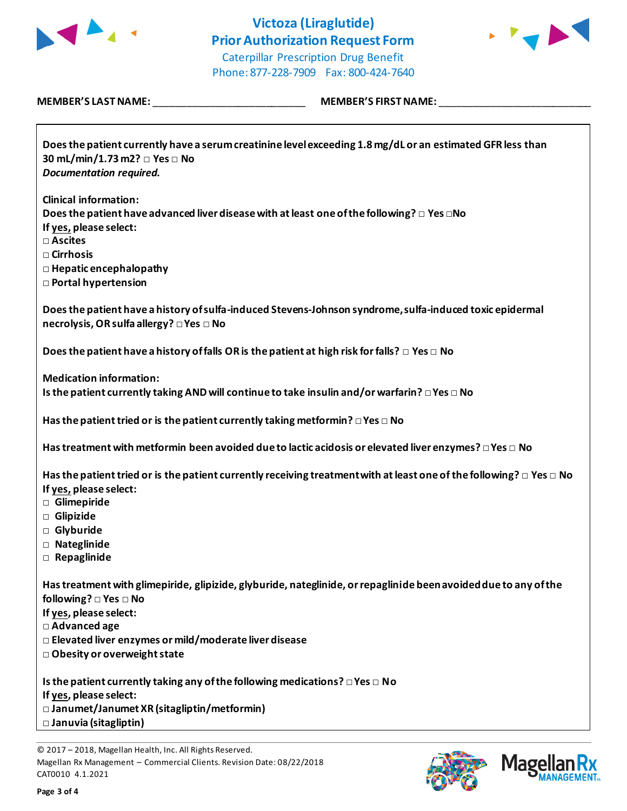



Caterpillar Prescription Drug Benefit Phone: 877-228-7909 Fax: 800-424-7640

| <b>MEMBER'S LAST NAME:</b> |  |
|----------------------------|--|
|----------------------------|--|

**MEMBER'S LAST NAME:** \_\_\_\_\_\_\_\_\_\_\_\_\_\_\_\_\_\_\_\_\_\_\_\_\_\_\_ **MEMBER'S FIRST NAME:** \_\_\_\_\_\_\_\_\_\_\_\_\_\_\_\_\_\_\_\_\_\_\_\_\_\_\_

| Does the patient currently have a serum creatinine level exceeding 1.8 mg/dL or an estimated GFR less than<br>30 mL/min/1.73 m2? □ Yes □ No<br><b>Documentation required.</b>                                                 |
|-------------------------------------------------------------------------------------------------------------------------------------------------------------------------------------------------------------------------------|
| <b>Clinical information:</b><br>Does the patient have advanced liver disease with at least one of the following? $\Box$ Yes $\Box$ No<br>If yes, please select:<br>□ Ascites                                                  |
| □ Cirrhosis<br>$\Box$ Hepatic encephalopathy<br><b>D</b> Portal hypertension                                                                                                                                                  |
| Does the patient have a history of sulfa-induced Stevens-Johnson syndrome, sulfa-induced toxic epidermal<br>necrolysis, OR sulfa allergy? □ Yes □ No                                                                          |
| Does the patient have a history of falls OR is the patient at high risk for falls? $\Box$ Yes $\Box$ No                                                                                                                       |
| <b>Medication information:</b><br>Is the patient currently taking AND will continue to take insulin and/or warfarin? $\Box$ Yes $\Box$ No                                                                                     |
| Has the patient tried or is the patient currently taking metformin? $\square$ Yes $\square$ No                                                                                                                                |
| Has treatment with metformin been avoided due to lactic acidosis or elevated liver enzymes? $\Box$ Yes $\Box$ No                                                                                                              |
| Has the patient tried or is the patient currently receiving treatment with at least one of the following? $\Box$ Yes $\Box$ No<br>If yes, please select:<br><b>D</b> Glimepiride<br>Glipizide<br>□ Glyburide<br>□ Nateglinide |
| $\Box$ Repaglinide                                                                                                                                                                                                            |
| Has treatment with glimepiride, glipizide, glyburide, nateglinide, or repaglinide been avoided due to any of the<br>following? $\square$ Yes $\square$ No<br>If yes, please select:                                           |
| □ Advanced age<br>□ Elevated liver enzymes or mild/moderate liver disease<br>□ Obesity or overweight state                                                                                                                    |
| Is the patient currently taking any of the following medications? $\square$ Yes $\square$ No<br>If yes, please select:<br>□ Janumet/Janumet XR (sitagliptin/metformin)<br>□ Januvia (sitagliptin)                             |



<sup>© 2017</sup> – 2018, Magellan Health, Inc. All Rights Reserved. Magellan Rx Management – Commercial Clients. Revision Date: 08/22/2018 CAT0010 4.1.2021